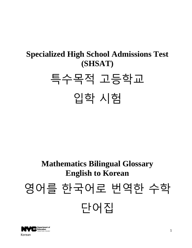## **Specialized High School Admissions Test (SHSAT)** 특수목적 고등학교 입학 시험

## **Mathematics Bilingual Glossary English to Korean** 영어를 한국어로 번역한 수학 단어집

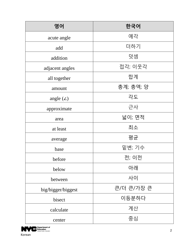| 영어                 | 한국어              |
|--------------------|------------------|
| acute angle        | 예각               |
| add                | 더하기              |
| addition           | 덧셈               |
| adjacent angles    | 접각; 이웃각          |
| all together       | 합계               |
| amount             | <u>총계; 총액; 양</u> |
| angle $(\angle)$   | 각도               |
| approximate        | 근사               |
| area               | 넓이; 면적           |
| at least           | 최소               |
| average            | 평균               |
| base               | 밑변; 기수           |
| before             | 전; 이전            |
| below              | 아래               |
| between            | 사이               |
| big/bigger/biggest | 큰/더 큰/가장 큰       |
| bisect             | 이등분하다            |
| calculate          | 계산               |
| center             | 중심               |

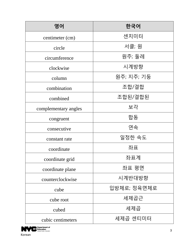| 영어                   | 한국어         |
|----------------------|-------------|
| centimeter (cm)      | 센치미터        |
| circle               | 서클; 원       |
| circumference        | 원주; 둘레      |
| clockwise            | 시계방향        |
| column               | 원주; 지주; 기둥  |
| combination          | 조합/결합       |
| combined             | 조합된/결합된     |
| complementary angles | 보각          |
| congruent            | 합동          |
| consecutive          | 연속          |
| constant rate        | 일정한 속도      |
| coordinate           | 좌표          |
| coordinate grid      | 좌표계         |
| coordinate plane     | 좌표 평면       |
| counterclockwise     | 시계반대방향      |
| cube                 | 입방체로; 정육면체로 |
| cube root            | 세제곱근        |
| cubed                | 세제곱         |
| cubic centimeters    | 세제곱 센티미터    |

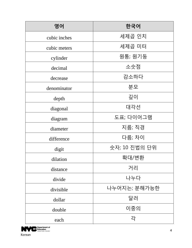| 영어           | 한국어           |
|--------------|---------------|
| cubic inches | 세제곱 인치        |
| cubic meters | 세제곱 미터        |
| cylinder     | 원통; 원기둥       |
| decimal      | 소숫점           |
| decrease     | 감소하다          |
| denominator  | 분모            |
| depth        | 깊이            |
| diagonal     | 대각선           |
| diagram      | 도표; 다이어그램     |
| diameter     | 지름; 직경        |
| difference   | 다름; 차이        |
| digit        | 숫자; 10 진법의 단위 |
| dilation     | 확대/변환         |
| distance     | 거리            |
| divide       | 나누다           |
| divisible    | 나누어지는; 분해가능한  |
| dollar       | 달러            |
| double       | 이중의           |
| each         | 각             |

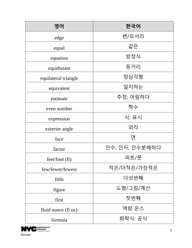| 영어                   | 한국어            |
|----------------------|----------------|
| edge                 | 변/모서리          |
| equal                | 같은             |
| equation             | 방정식            |
| equidistant          | 등거리            |
| equilateral triangle | 정삼각형           |
| equivalent           | 일치하는           |
| estimate             | 추정; 어림하다       |
| even number          | 짝수             |
| expression           | 식; 표시          |
| exterior angle       | 외각             |
| face                 | 면              |
| factor               | 인수; 인자; 인수분해하다 |
| feet/foot (ft)       | 피트/풋           |
| few/fewer/fewest     | 적은/더적은/가장적은    |
| fifth                | 다섯번째           |
| figure               | 도형/그림/계산       |
| first                | 첫번째            |
| fluid ounce (fl oz)  | 액량 온스          |
| formula              | 화학식; 공식        |

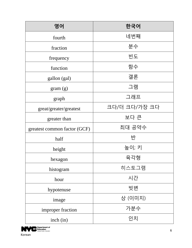| 영어                           | 한국어           |
|------------------------------|---------------|
| fourth                       | 네번째           |
| fraction                     | 분수            |
| frequency                    | 빈도            |
| function                     | 함수            |
| gallon (gal)                 | 갤론            |
| gram(g)                      | 그램            |
| graph                        | 그래프           |
| great/greater/greatest       | 크다/더 크다/가장 크다 |
| greater than                 | 보다 큰          |
| greatest common factor (GCF) | 최대 공약수        |
| half                         | 반             |
| height                       | 높이; 키         |
| hexagon                      | 육각형           |
| histogram                    | 히스토그램         |
| hour                         | 시간            |
| hypotenuse                   | 빗변            |
| image                        | 상 (이미지)       |
| improper fraction            | 가분수           |
| inch (in)                    | 인치            |

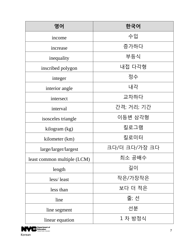| 영어                          | 한국어           |
|-----------------------------|---------------|
| income                      | 수입            |
| increase                    | 증가하다          |
| inequality                  | 부등식           |
| inscribed polygon           | 내접 다각형        |
| integer                     | 정수            |
| interior angle              | 내각            |
| intersect                   | 교차하다          |
| interval                    | 간격; 거리; 기간    |
| isosceles triangle          | 이등변 삼각형       |
| kilogram (kg)               | 킬로그램          |
| kilometer (km)              | 킬로미터          |
| large/larger/largest        | 크다/더 크다/가장 크다 |
| least common multiple (LCM) | 최소 공배수        |
| length                      | 길이            |
| less/least                  | 작은/가장작은       |
| less than                   | 보다 더 적은       |
| line                        | 줄; 선          |
| line segment                | 선분            |
| linear equation             | 1 차 방정식       |

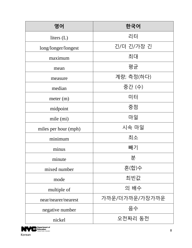| 영어                   | 한국어            |
|----------------------|----------------|
| liters $(L)$         | 리터             |
| long/longer/longest  | 긴/더 긴/가장 긴     |
| maximum              | 최대             |
| mean                 | 평균             |
| measure              | 계량; 측정(하다)     |
| median               | 중간 (수)         |
| meter (m)            | 미터             |
| midpoint             | 중점             |
| mile (mi)            | 마일             |
| miles per hour (mph) | 시속 마일          |
| minimum              | 최소             |
| minus                | 빼기             |
| minute               | 분              |
| mixed number         | 혼(합)수          |
| mode                 | 최빈값            |
| multiple of          | 의 배수           |
| near/nearer/nearest  | 가까운/더가까운/가장가까운 |
| negative number      | 음수             |
| nickel               | 오전짜리 동전        |

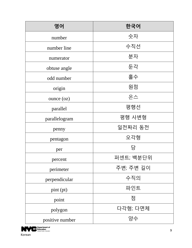| 영어              | 한국어       |
|-----------------|-----------|
| number          | 숫자        |
| number line     | 수직선       |
| numerator       | 분자        |
| obtuse angle    | 둔각        |
| odd number      | 홀수        |
| origin          | 원점        |
| ounce (oz)      | 온스        |
| parallel        | 평행선       |
| parallelogram   | 평행 사변형    |
| penny           | 일전짜리 동전   |
| pentagon        | 오각형       |
| per             | 당         |
| percent         | 퍼센트; 백분단위 |
| perimeter       | 주변; 주변 길이 |
| perpendicular   | 수직의       |
| pint (pt)       | 파인트       |
| point           | 점         |
| polygon         | 다각형; 다면체  |
| positive number | 양수        |

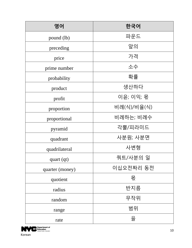| 영어              | 한국어         |
|-----------------|-------------|
| pound (lb)      | 파운드         |
| preceding       | 앞의          |
| price           | 가격          |
| prime number    | 소수          |
| probability     | 확률          |
| product         | 생산하다        |
| profit          | 이윤; 이익; 몫   |
| proportion      | 비례(식)/비율(식) |
| proportional    | 비례하는; 비례수   |
| pyramid         | 각뿔/피라미드     |
| quadrant        | 사분원; 사분면    |
| quadrilateral   | 사변형         |
| quart (qt)      | 쿼트/사분의 일    |
| quarter (money) | 이십오전짜리 동전   |
| quotient        | 몫           |
| radius          | 반지름         |
| random          | 무작위         |
| range           | 범위          |
| rate            | 율           |

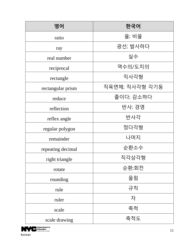| 영어                | 한국어            |
|-------------------|----------------|
| ratio             | 율; 비율          |
| ray               | 광선; 발사하다       |
| real number       | 실수             |
| reciprocal        | 역수의/도치의        |
| rectangle         | 직사각형           |
| rectangular prism | 직육면체; 직사각형 각기둥 |
| reduce            | 줄이다; 감소하다      |
| reflection        | 반사; 경영         |
| reflex angle      | 반사각            |
| regular polygon   | 정다각형           |
| remainder         | 나머지            |
| repeating decimal | 순환소수           |
| right triangle    | 직각삼각형          |
| rotate            | 순환;회전          |
| rounding          | 올림             |
| rule              | 규칙             |
| ruler             | 자              |
| scale             | 축척             |
| scale drawing     | 축적도            |

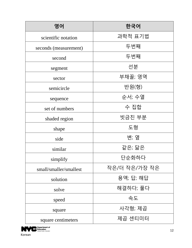| 영어                     | 한국어           |
|------------------------|---------------|
| scientific notation    | 과학적 표기법       |
| seconds (measurement)  | 두번째           |
| second                 | 두번째           |
| segment                | 선분            |
| sector                 | 부채꼴; 영역       |
| semicircle             | 반원(형)         |
| sequence               | 순서; 수열        |
| set of numbers         | 수 집합          |
| shaded region          | 빗금친 부분        |
| shape                  | 도형            |
| side                   | 변; 옆          |
| similar                | 같은; 닮은        |
| simplify               | 단순화하다         |
| small/smaller/smallest | 작은/더 작은/가장 작은 |
| solution               | 용액; 답; 해답     |
| solve                  | 해결하다; 풀다      |
| speed                  | 속도            |
| square                 | 사각형; 제곱       |
| square centimeters     | 제곱 센티미터       |

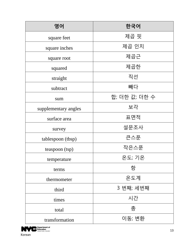| 영어                   | 한국어           |
|----------------------|---------------|
| square feet          | 제곱 핏          |
| square inches        | 제곱 인치         |
| square root          | 제곱근           |
| squared              | 제곱한           |
| straight             | 직선            |
| subtract             | 빼다            |
| sum                  | 합; 더한 값; 더한 수 |
| supplementary angles | 보각            |
| surface area         | 표면적           |
| survey               | 설문조사          |
| tablespoon (tbsp)    | 큰스푼           |
| teaspoon (tsp)       | 작은스푼          |
| temperature          | 온도; 기온        |
| terms                | 항             |
| thermometer          | 온도계           |
| third                | 3 번째; 세번째     |
| times                | 시간            |
| total                | 총             |
| transformation       | 이동; 변환        |